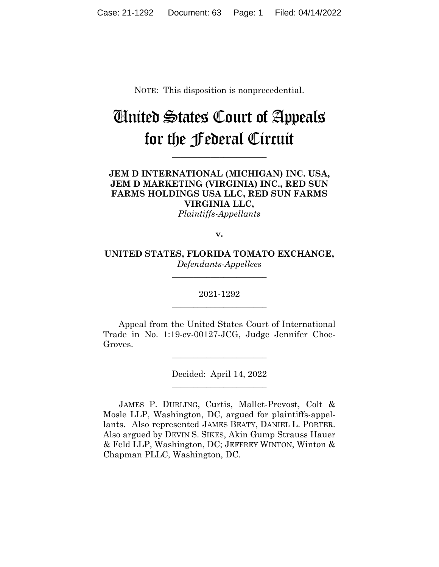NOTE: This disposition is nonprecedential.

# United States Court of Appeals for the Federal Circuit

**\_\_\_\_\_\_\_\_\_\_\_\_\_\_\_\_\_\_\_\_\_\_** 

## **JEM D INTERNATIONAL (MICHIGAN) INC. USA, JEM D MARKETING (VIRGINIA) INC., RED SUN FARMS HOLDINGS USA LLC, RED SUN FARMS VIRGINIA LLC,**

*Plaintiffs-Appellants*

**v.**

**UNITED STATES, FLORIDA TOMATO EXCHANGE,** *Defendants-Appellees*

**\_\_\_\_\_\_\_\_\_\_\_\_\_\_\_\_\_\_\_\_\_\_** 

2021-1292 **\_\_\_\_\_\_\_\_\_\_\_\_\_\_\_\_\_\_\_\_\_\_** 

Appeal from the United States Court of International Trade in No. 1:19-cv-00127-JCG, Judge Jennifer Choe-Groves.

> Decided: April 14, 2022  $\overline{\phantom{a}}$  , where  $\overline{\phantom{a}}$  , where  $\overline{\phantom{a}}$  , where  $\overline{\phantom{a}}$

 $\overline{\phantom{a}}$  , where  $\overline{\phantom{a}}$  , where  $\overline{\phantom{a}}$  , where  $\overline{\phantom{a}}$ 

JAMES P. DURLING, Curtis, Mallet-Prevost, Colt & Mosle LLP, Washington, DC, argued for plaintiffs-appellants. Also represented JAMES BEATY, DANIEL L. PORTER. Also argued by DEVIN S. SIKES, Akin Gump Strauss Hauer & Feld LLP, Washington, DC; JEFFREY WINTON, Winton & Chapman PLLC, Washington, DC.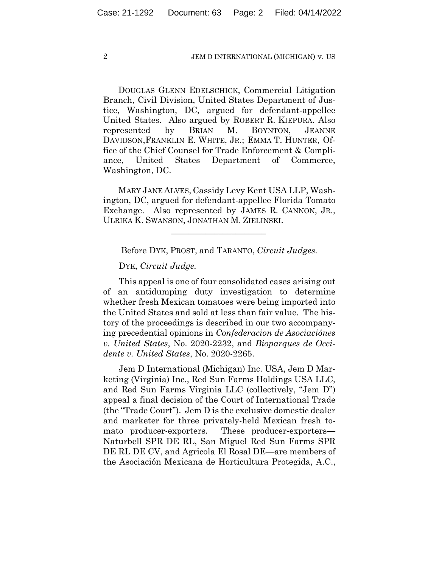DOUGLAS GLENN EDELSCHICK, Commercial Litigation Branch, Civil Division, United States Department of Justice, Washington, DC, argued for defendant-appellee United States. Also argued by ROBERT R. KIEPURA. Also represented by BRIAN M. BOYNTON, JEANNE DAVIDSON,FRANKLIN E. WHITE, JR.; EMMA T. HUNTER, Office of the Chief Counsel for Trade Enforcement & Compliance, United States Department of Commerce, Washington, DC.

 MARY JANE ALVES, Cassidy Levy Kent USA LLP, Washington, DC, argued for defendant-appellee Florida Tomato Exchange. Also represented by JAMES R. CANNON, JR., ULRIKA K. SWANSON, JONATHAN M. ZIELINSKI.

Before DYK, PROST, and TARANTO, *Circuit Judges*.

 $\mathcal{L}_\text{max}$  and  $\mathcal{L}_\text{max}$  and  $\mathcal{L}_\text{max}$  and  $\mathcal{L}_\text{max}$ 

DYK, *Circuit Judge.*

This appeal is one of four consolidated cases arising out of an antidumping duty investigation to determine whether fresh Mexican tomatoes were being imported into the United States and sold at less than fair value.The history of the proceedings is described in our two accompanying precedential opinions in *Confederacion de Asociaciónes v. United States*, No. 2020-2232, and *Bioparques de Occidente v. United States*, No. 2020-2265.

Jem D International (Michigan) Inc. USA, Jem D Marketing (Virginia) Inc., Red Sun Farms Holdings USA LLC, and Red Sun Farms Virginia LLC (collectively, "Jem D") appeal a final decision of the Court of International Trade (the "Trade Court"). Jem D is the exclusive domestic dealer and marketer for three privately-held Mexican fresh tomato producer-exporters. These producer-exporters— Naturbell SPR DE RL, San Miguel Red Sun Farms SPR DE RL DE CV, and Agricola El Rosal DE—are members of the Asociación Mexicana de Horticultura Protegida, A.C.,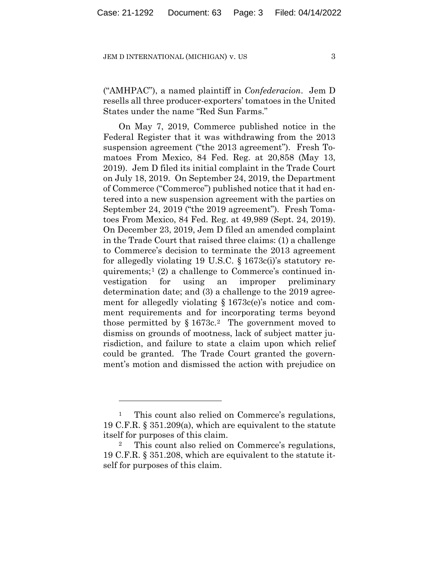("AMHPAC"), a named plaintiff in *Confederacion*. Jem D resells all three producer-exporters' tomatoes in the United States under the name "Red Sun Farms."

On May 7, 2019, Commerce published notice in the Federal Register that it was withdrawing from the 2013 suspension agreement ("the 2013 agreement"). Fresh Tomatoes From Mexico, 84 Fed. Reg. at 20,858 (May 13, 2019). Jem D filed its initial complaint in the Trade Court on July 18, 2019. On September 24, 2019, the Department of Commerce ("Commerce") published notice that it had entered into a new suspension agreement with the parties on September 24, 2019 ("the 2019 agreement"). Fresh Tomatoes From Mexico, 84 Fed. Reg. at 49,989 (Sept. 24, 2019). On December 23, 2019, Jem D filed an amended complaint in the Trade Court that raised three claims: (1) a challenge to Commerce's decision to terminate the 2013 agreement for allegedly violating 19 U.S.C. § 1673c(i)'s statutory requirements;<sup>1</sup> (2) a challenge to Commerce's continued investigation for using an improper preliminary determination date; and (3) a challenge to the 2019 agreement for allegedly violating  $\S 1673c(e)$ 's notice and comment requirements and for incorporating terms beyond those permitted by  $\S 1673c$ .<sup>2</sup> The government moved to dismiss on grounds of mootness, lack of subject matter jurisdiction, and failure to state a claim upon which relief could be granted. The Trade Court granted the government's motion and dismissed the action with prejudice on

<sup>&</sup>lt;sup>1</sup> This count also relied on Commerce's regulations, 19 C.F.R. § 351.209(a), which are equivalent to the statute itself for purposes of this claim.

This count also relied on Commerce's regulations, 19 C.F.R. § 351.208, which are equivalent to the statute itself for purposes of this claim.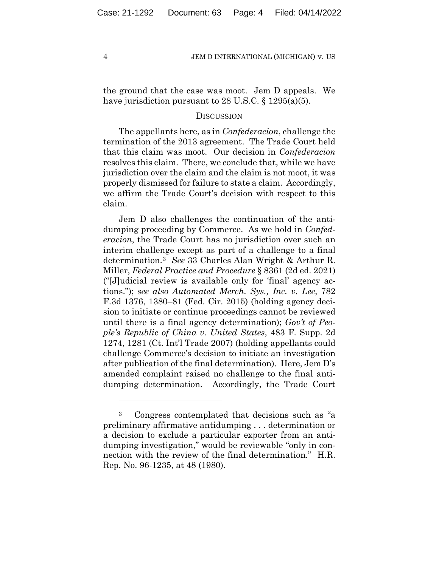the ground that the case was moot. Jem D appeals. We have jurisdiction pursuant to 28 U.S.C. § 1295(a)(5).

#### **DISCUSSION**

The appellants here, as in *Confederacion*, challenge the termination of the 2013 agreement. The Trade Court held that this claim was moot. Our decision in *Confederacion* resolves this claim. There, we conclude that, while we have jurisdiction over the claim and the claim is not moot, it was properly dismissed for failure to state a claim. Accordingly, we affirm the Trade Court's decision with respect to this claim.

Jem D also challenges the continuation of the antidumping proceeding by Commerce. As we hold in *Confederacion*, the Trade Court has no jurisdiction over such an interim challenge except as part of a challenge to a final determination.3 *See* 33 Charles Alan Wright & Arthur R. Miller, *Federal Practice and Procedure* § 8361 (2d ed. 2021) ("[J]udicial review is available only for 'final' agency actions."); *see also Automated Merch. Sys., Inc. v. Lee*, 782 F.3d 1376, 1380–81 (Fed. Cir. 2015) (holding agency decision to initiate or continue proceedings cannot be reviewed until there is a final agency determination); *Gov't of People's Republic of China v. United States*, 483 F. Supp. 2d 1274, 1281 (Ct. Int'l Trade 2007) (holding appellants could challenge Commerce's decision to initiate an investigation after publication of the final determination). Here, Jem D's amended complaint raised no challenge to the final antidumping determination. Accordingly, the Trade Court

<sup>3</sup> Congress contemplated that decisions such as "a preliminary affirmative antidumping . . . determination or a decision to exclude a particular exporter from an antidumping investigation," would be reviewable "only in connection with the review of the final determination." H.R. Rep. No. 96-1235, at 48 (1980).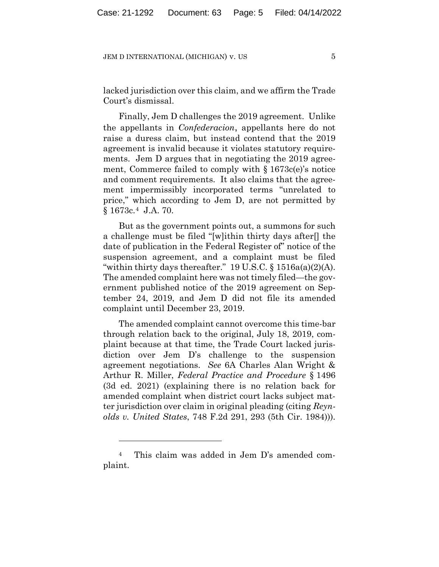lacked jurisdiction over this claim, and we affirm the Trade Court's dismissal.

Finally, Jem D challenges the 2019 agreement. Unlike the appellants in *Confederacion*, appellants here do not raise a duress claim, but instead contend that the 2019 agreement is invalid because it violates statutory requirements. Jem D argues that in negotiating the 2019 agreement, Commerce failed to comply with  $\S 1673c(e)$ 's notice and comment requirements. It also claims that the agreement impermissibly incorporated terms "unrelated to price," which according to Jem D, are not permitted by § 1673c.4 J.A. 70.

But as the government points out, a summons for such a challenge must be filed "[w]ithin thirty days after[] the date of publication in the Federal Register of" notice of the suspension agreement, and a complaint must be filed "within thirty days thereafter."  $19 \text{ U.S.C.}$  §  $1516a(a)(2)(A)$ . The amended complaint here was not timely filed—the government published notice of the 2019 agreement on September 24, 2019, and Jem D did not file its amended complaint until December 23, 2019.

The amended complaint cannot overcome this time-bar through relation back to the original, July 18, 2019, complaint because at that time, the Trade Court lacked jurisdiction over Jem D's challenge to the suspension agreement negotiations. *See* 6A Charles Alan Wright & Arthur R. Miller, *Federal Practice and Procedure* § 1496 (3d ed. 2021) (explaining there is no relation back for amended complaint when district court lacks subject matter jurisdiction over claim in original pleading (citing *Reynolds v. United States*, 748 F.2d 291, 293 (5th Cir. 1984))).

<sup>4</sup> This claim was added in Jem D's amended complaint.